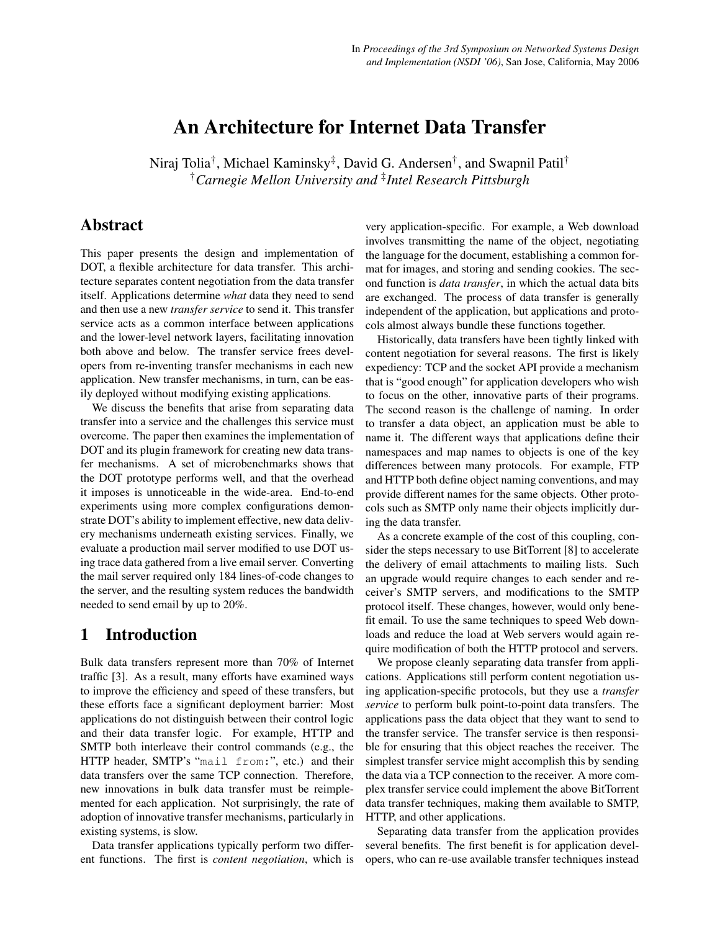# An Architecture for Internet Data Transfer

Niraj Tolia<sup>†</sup>, Michael Kaminsky<sup>‡</sup>, David G. Andersen<sup>†</sup>, and Swapnil Patil<sup>†</sup> †*Carnegie Mellon University and* ‡ *Intel Research Pittsburgh*

# Abstract

This paper presents the design and implementation of DOT, a flexible architecture for data transfer. This architecture separates content negotiation from the data transfer itself. Applications determine *what* data they need to send and then use a new *transfer service* to send it. This transfer service acts as a common interface between applications and the lower-level network layers, facilitating innovation both above and below. The transfer service frees developers from re-inventing transfer mechanisms in each new application. New transfer mechanisms, in turn, can be easily deployed without modifying existing applications.

We discuss the benefits that arise from separating data transfer into a service and the challenges this service must overcome. The paper then examines the implementation of DOT and its plugin framework for creating new data transfer mechanisms. A set of microbenchmarks shows that the DOT prototype performs well, and that the overhead it imposes is unnoticeable in the wide-area. End-to-end experiments using more complex configurations demonstrate DOT's ability to implement effective, new data delivery mechanisms underneath existing services. Finally, we evaluate a production mail server modified to use DOT using trace data gathered from a live email server. Converting the mail server required only 184 lines-of-code changes to the server, and the resulting system reduces the bandwidth needed to send email by up to 20%.

# 1 Introduction

Bulk data transfers represent more than 70% of Internet traffic [\[3\]](#page-13-0). As a result, many efforts have examined ways to improve the efficiency and speed of these transfers, but these efforts face a significant deployment barrier: Most applications do not distinguish between their control logic and their data transfer logic. For example, HTTP and SMTP both interleave their control commands (e.g., the HTTP header, SMTP's "mail from:", etc.) and their data transfers over the same TCP connection. Therefore, new innovations in bulk data transfer must be reimplemented for each application. Not surprisingly, the rate of adoption of innovative transfer mechanisms, particularly in existing systems, is slow.

Data transfer applications typically perform two different functions. The first is *content negotiation*, which is very application-specific. For example, a Web download involves transmitting the name of the object, negotiating the language for the document, establishing a common format for images, and storing and sending cookies. The second function is *data transfer*, in which the actual data bits are exchanged. The process of data transfer is generally independent of the application, but applications and protocols almost always bundle these functions together.

Historically, data transfers have been tightly linked with content negotiation for several reasons. The first is likely expediency: TCP and the socket API provide a mechanism that is "good enough" for application developers who wish to focus on the other, innovative parts of their programs. The second reason is the challenge of naming. In order to transfer a data object, an application must be able to name it. The different ways that applications define their namespaces and map names to objects is one of the key differences between many protocols. For example, FTP and HTTP both define object naming conventions, and may provide different names for the same objects. Other protocols such as SMTP only name their objects implicitly during the data transfer.

As a concrete example of the cost of this coupling, consider the steps necessary to use BitTorrent [\[8\]](#page-13-1) to accelerate the delivery of email attachments to mailing lists. Such an upgrade would require changes to each sender and receiver's SMTP servers, and modifications to the SMTP protocol itself. These changes, however, would only benefit email. To use the same techniques to speed Web downloads and reduce the load at Web servers would again require modification of both the HTTP protocol and servers.

We propose cleanly separating data transfer from applications. Applications still perform content negotiation using application-specific protocols, but they use a *transfer service* to perform bulk point-to-point data transfers. The applications pass the data object that they want to send to the transfer service. The transfer service is then responsible for ensuring that this object reaches the receiver. The simplest transfer service might accomplish this by sending the data via a TCP connection to the receiver. A more complex transfer service could implement the above BitTorrent data transfer techniques, making them available to SMTP, HTTP, and other applications.

Separating data transfer from the application provides several benefits. The first benefit is for application developers, who can re-use available transfer techniques instead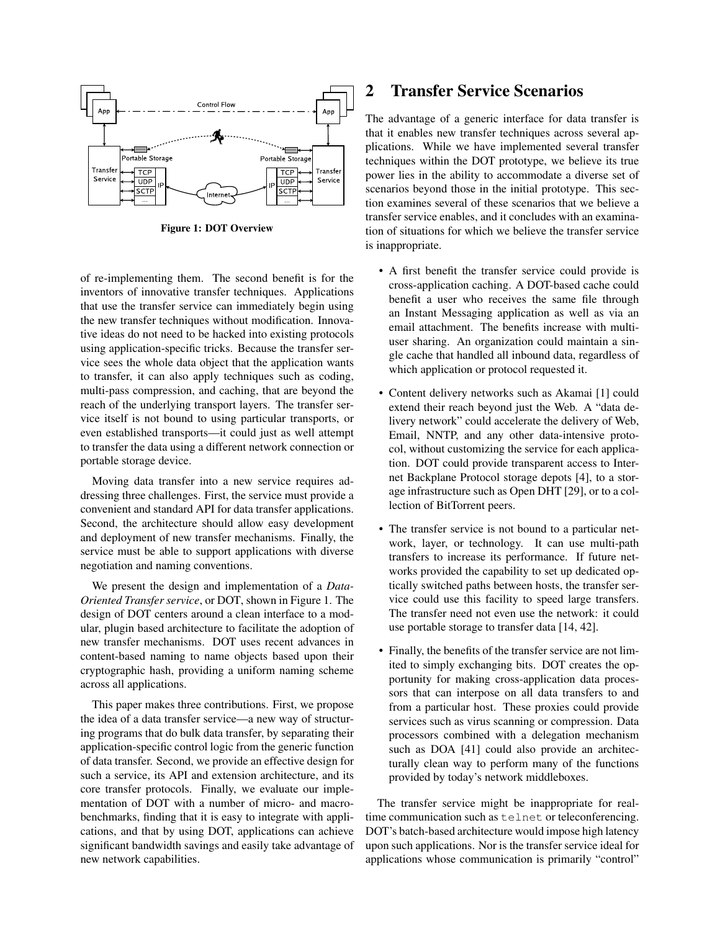

<span id="page-1-0"></span>Figure 1: DOT Overview

of re-implementing them. The second benefit is for the inventors of innovative transfer techniques. Applications that use the transfer service can immediately begin using the new transfer techniques without modification. Innovative ideas do not need to be hacked into existing protocols using application-specific tricks. Because the transfer service sees the whole data object that the application wants to transfer, it can also apply techniques such as coding, multi-pass compression, and caching, that are beyond the reach of the underlying transport layers. The transfer service itself is not bound to using particular transports, or even established transports—it could just as well attempt to transfer the data using a different network connection or portable storage device.

Moving data transfer into a new service requires addressing three challenges. First, the service must provide a convenient and standard API for data transfer applications. Second, the architecture should allow easy development and deployment of new transfer mechanisms. Finally, the service must be able to support applications with diverse negotiation and naming conventions.

We present the design and implementation of a *Data-Oriented Transfer service*, or DOT, shown in Figure [1.](#page-1-0) The design of DOT centers around a clean interface to a modular, plugin based architecture to facilitate the adoption of new transfer mechanisms. DOT uses recent advances in content-based naming to name objects based upon their cryptographic hash, providing a uniform naming scheme across all applications.

This paper makes three contributions. First, we propose the idea of a data transfer service—a new way of structuring programs that do bulk data transfer, by separating their application-specific control logic from the generic function of data transfer. Second, we provide an effective design for such a service, its API and extension architecture, and its core transfer protocols. Finally, we evaluate our implementation of DOT with a number of micro- and macrobenchmarks, finding that it is easy to integrate with applications, and that by using DOT, applications can achieve significant bandwidth savings and easily take advantage of new network capabilities.

# 2 Transfer Service Scenarios

The advantage of a generic interface for data transfer is that it enables new transfer techniques across several applications. While we have implemented several transfer techniques within the DOT prototype, we believe its true power lies in the ability to accommodate a diverse set of scenarios beyond those in the initial prototype. This section examines several of these scenarios that we believe a transfer service enables, and it concludes with an examination of situations for which we believe the transfer service is inappropriate.

- A first benefit the transfer service could provide is cross-application caching. A DOT-based cache could benefit a user who receives the same file through an Instant Messaging application as well as via an email attachment. The benefits increase with multiuser sharing. An organization could maintain a single cache that handled all inbound data, regardless of which application or protocol requested it.
- Content delivery networks such as Akamai [\[1\]](#page-12-0) could extend their reach beyond just the Web. A "data delivery network" could accelerate the delivery of Web, Email, NNTP, and any other data-intensive protocol, without customizing the service for each application. DOT could provide transparent access to Internet Backplane Protocol storage depots [\[4\]](#page-13-2), to a storage infrastructure such as Open DHT [\[29\]](#page-13-3), or to a collection of BitTorrent peers.
- The transfer service is not bound to a particular network, layer, or technology. It can use multi-path transfers to increase its performance. If future networks provided the capability to set up dedicated optically switched paths between hosts, the transfer service could use this facility to speed large transfers. The transfer need not even use the network: it could use portable storage to transfer data [\[14,](#page-13-4) [42\]](#page-13-5).
- Finally, the benefits of the transfer service are not limited to simply exchanging bits. DOT creates the opportunity for making cross-application data processors that can interpose on all data transfers to and from a particular host. These proxies could provide services such as virus scanning or compression. Data processors combined with a delegation mechanism such as DOA [\[41\]](#page-13-6) could also provide an architecturally clean way to perform many of the functions provided by today's network middleboxes.

The transfer service might be inappropriate for realtime communication such as telnet or teleconferencing. DOT's batch-based architecture would impose high latency upon such applications. Nor is the transfer service ideal for applications whose communication is primarily "control"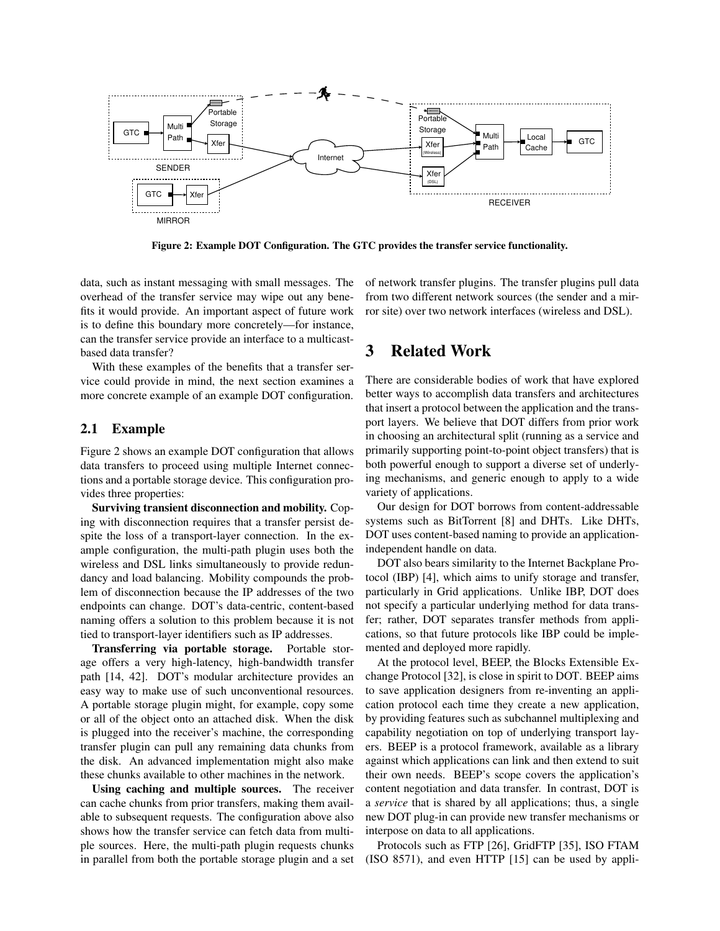

<span id="page-2-0"></span>Figure 2: Example DOT Configuration. The GTC provides the transfer service functionality.

data, such as instant messaging with small messages. The overhead of the transfer service may wipe out any benefits it would provide. An important aspect of future work is to define this boundary more concretely—for instance, can the transfer service provide an interface to a multicastbased data transfer?

With these examples of the benefits that a transfer service could provide in mind, the next section examines a more concrete example of an example DOT configuration.

#### 2.1 Example

Figure [2](#page-2-0) shows an example DOT configuration that allows data transfers to proceed using multiple Internet connections and a portable storage device. This configuration provides three properties:

Surviving transient disconnection and mobility. Coping with disconnection requires that a transfer persist despite the loss of a transport-layer connection. In the example configuration, the multi-path plugin uses both the wireless and DSL links simultaneously to provide redundancy and load balancing. Mobility compounds the problem of disconnection because the IP addresses of the two endpoints can change. DOT's data-centric, content-based naming offers a solution to this problem because it is not tied to transport-layer identifiers such as IP addresses.

Transferring via portable storage. Portable storage offers a very high-latency, high-bandwidth transfer path [\[14,](#page-13-4) [42\]](#page-13-5). DOT's modular architecture provides an easy way to make use of such unconventional resources. A portable storage plugin might, for example, copy some or all of the object onto an attached disk. When the disk is plugged into the receiver's machine, the corresponding transfer plugin can pull any remaining data chunks from the disk. An advanced implementation might also make these chunks available to other machines in the network.

Using caching and multiple sources. The receiver can cache chunks from prior transfers, making them available to subsequent requests. The configuration above also shows how the transfer service can fetch data from multiple sources. Here, the multi-path plugin requests chunks in parallel from both the portable storage plugin and a set of network transfer plugins. The transfer plugins pull data from two different network sources (the sender and a mirror site) over two network interfaces (wireless and DSL).

# 3 Related Work

There are considerable bodies of work that have explored better ways to accomplish data transfers and architectures that insert a protocol between the application and the transport layers. We believe that DOT differs from prior work in choosing an architectural split (running as a service and primarily supporting point-to-point object transfers) that is both powerful enough to support a diverse set of underlying mechanisms, and generic enough to apply to a wide variety of applications.

Our design for DOT borrows from content-addressable systems such as BitTorrent [\[8\]](#page-13-1) and DHTs. Like DHTs, DOT uses content-based naming to provide an applicationindependent handle on data.

DOT also bears similarity to the Internet Backplane Protocol (IBP) [\[4\]](#page-13-2), which aims to unify storage and transfer, particularly in Grid applications. Unlike IBP, DOT does not specify a particular underlying method for data transfer; rather, DOT separates transfer methods from applications, so that future protocols like IBP could be implemented and deployed more rapidly.

At the protocol level, BEEP, the Blocks Extensible Exchange Protocol [\[32\]](#page-13-7), is close in spirit to DOT. BEEP aims to save application designers from re-inventing an application protocol each time they create a new application, by providing features such as subchannel multiplexing and capability negotiation on top of underlying transport layers. BEEP is a protocol framework, available as a library against which applications can link and then extend to suit their own needs. BEEP's scope covers the application's content negotiation and data transfer. In contrast, DOT is a *service* that is shared by all applications; thus, a single new DOT plug-in can provide new transfer mechanisms or interpose on data to all applications.

Protocols such as FTP [\[26\]](#page-13-8), GridFTP [\[35\]](#page-13-9), ISO FTAM (ISO 8571), and even HTTP [\[15\]](#page-13-10) can be used by appli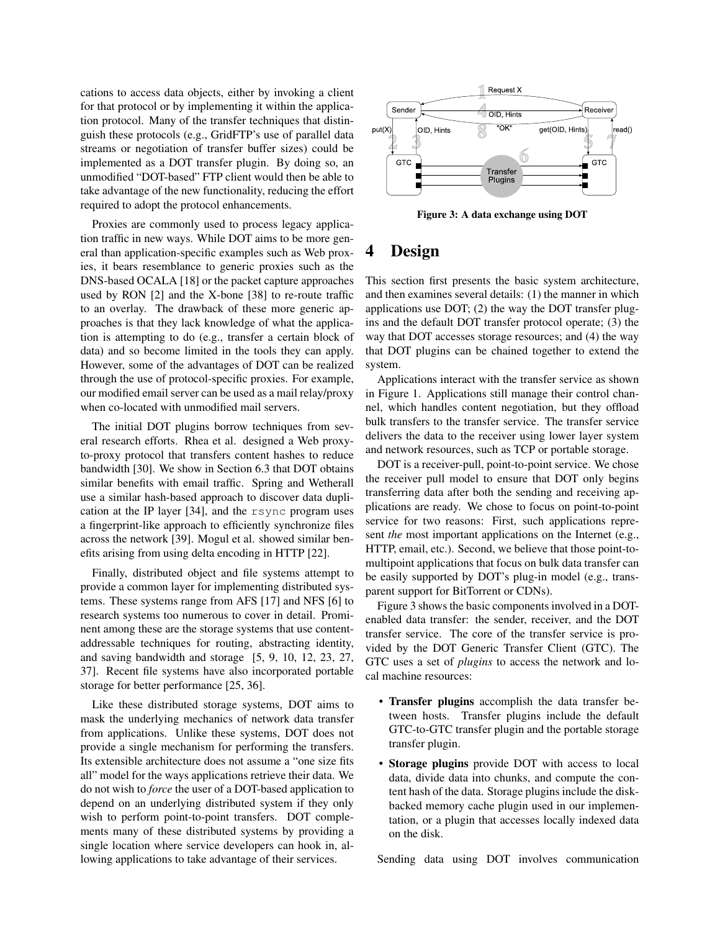cations to access data objects, either by invoking a client for that protocol or by implementing it within the application protocol. Many of the transfer techniques that distinguish these protocols (e.g., GridFTP's use of parallel data streams or negotiation of transfer buffer sizes) could be implemented as a DOT transfer plugin. By doing so, an unmodified "DOT-based" FTP client would then be able to take advantage of the new functionality, reducing the effort required to adopt the protocol enhancements.

Proxies are commonly used to process legacy application traffic in new ways. While DOT aims to be more general than application-specific examples such as Web proxies, it bears resemblance to generic proxies such as the DNS-based OCALA [\[18\]](#page-13-11) or the packet capture approaches used by RON [\[2\]](#page-12-1) and the X-bone [\[38\]](#page-13-12) to re-route traffic to an overlay. The drawback of these more generic approaches is that they lack knowledge of what the application is attempting to do (e.g., transfer a certain block of data) and so become limited in the tools they can apply. However, some of the advantages of DOT can be realized through the use of protocol-specific proxies. For example, our modified email server can be used as a mail relay/proxy when co-located with unmodified mail servers.

The initial DOT plugins borrow techniques from several research efforts. Rhea et al. designed a Web proxyto-proxy protocol that transfers content hashes to reduce bandwidth [\[30\]](#page-13-13). We show in Section [6.3](#page-9-0) that DOT obtains similar benefits with email traffic. Spring and Wetherall use a similar hash-based approach to discover data duplication at the IP layer [\[34\]](#page-13-14), and the rsync program uses a fingerprint-like approach to efficiently synchronize files across the network [\[39\]](#page-13-15). Mogul et al. showed similar benefits arising from using delta encoding in HTTP [\[22\]](#page-13-16).

Finally, distributed object and file systems attempt to provide a common layer for implementing distributed systems. These systems range from AFS [\[17\]](#page-13-17) and NFS [\[6\]](#page-13-18) to research systems too numerous to cover in detail. Prominent among these are the storage systems that use contentaddressable techniques for routing, abstracting identity, and saving bandwidth and storage [\[5,](#page-13-19) [9,](#page-13-20) [10,](#page-13-21) [12,](#page-13-22) [23,](#page-13-23) [27,](#page-13-24) [37\]](#page-13-25). Recent file systems have also incorporated portable storage for better performance [\[25,](#page-13-26) [36\]](#page-13-27).

Like these distributed storage systems, DOT aims to mask the underlying mechanics of network data transfer from applications. Unlike these systems, DOT does not provide a single mechanism for performing the transfers. Its extensible architecture does not assume a "one size fits all" model for the ways applications retrieve their data. We do not wish to *force* the user of a DOT-based application to depend on an underlying distributed system if they only wish to perform point-to-point transfers. DOT complements many of these distributed systems by providing a single location where service developers can hook in, allowing applications to take advantage of their services.



<span id="page-3-0"></span>Figure 3: A data exchange using DOT

# 4 Design

This section first presents the basic system architecture, and then examines several details: (1) the manner in which applications use DOT; (2) the way the DOT transfer plugins and the default DOT transfer protocol operate; (3) the way that DOT accesses storage resources; and (4) the way that DOT plugins can be chained together to extend the system.

Applications interact with the transfer service as shown in Figure [1.](#page-1-0) Applications still manage their control channel, which handles content negotiation, but they offload bulk transfers to the transfer service. The transfer service delivers the data to the receiver using lower layer system and network resources, such as TCP or portable storage.

DOT is a receiver-pull, point-to-point service. We chose the receiver pull model to ensure that DOT only begins transferring data after both the sending and receiving applications are ready. We chose to focus on point-to-point service for two reasons: First, such applications represent *the* most important applications on the Internet (e.g., HTTP, email, etc.). Second, we believe that those point-tomultipoint applications that focus on bulk data transfer can be easily supported by DOT's plug-in model (e.g., transparent support for BitTorrent or CDNs).

Figure [3](#page-3-0) shows the basic components involved in a DOTenabled data transfer: the sender, receiver, and the DOT transfer service. The core of the transfer service is provided by the DOT Generic Transfer Client (GTC). The GTC uses a set of *plugins* to access the network and local machine resources:

- Transfer plugins accomplish the data transfer between hosts. Transfer plugins include the default GTC-to-GTC transfer plugin and the portable storage transfer plugin.
- Storage plugins provide DOT with access to local data, divide data into chunks, and compute the content hash of the data. Storage plugins include the diskbacked memory cache plugin used in our implementation, or a plugin that accesses locally indexed data on the disk.

Sending data using DOT involves communication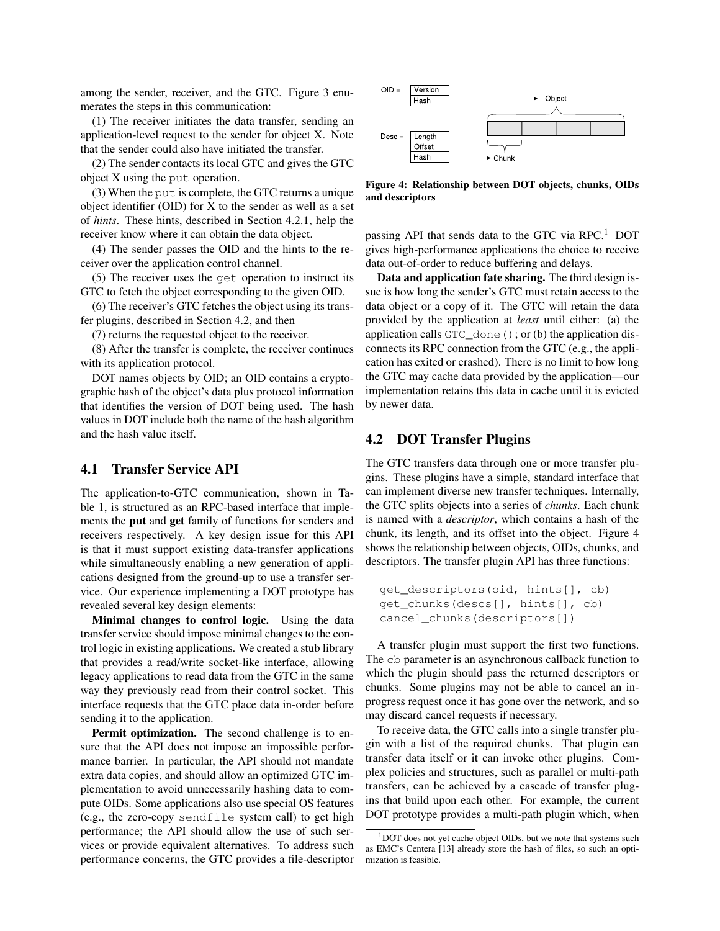among the sender, receiver, and the GTC. Figure [3](#page-3-0) enumerates the steps in this communication:

(1) The receiver initiates the data transfer, sending an application-level request to the sender for object X. Note that the sender could also have initiated the transfer.

(2) The sender contacts its local GTC and gives the GTC object X using the put operation.

(3) When the put is complete, the GTC returns a unique object identifier (OID) for X to the sender as well as a set of *hints*. These hints, described in Section [4.2.1,](#page-5-0) help the receiver know where it can obtain the data object.

(4) The sender passes the OID and the hints to the receiver over the application control channel.

(5) The receiver uses the get operation to instruct its GTC to fetch the object corresponding to the given OID.

(6) The receiver's GTC fetches the object using its transfer plugins, described in Section [4.2,](#page-4-0) and then

(7) returns the requested object to the receiver.

(8) After the transfer is complete, the receiver continues with its application protocol.

DOT names objects by OID; an OID contains a cryptographic hash of the object's data plus protocol information that identifies the version of DOT being used. The hash values in DOT include both the name of the hash algorithm and the hash value itself.

### 4.1 Transfer Service API

The application-to-GTC communication, shown in Table [1,](#page-5-1) is structured as an RPC-based interface that implements the put and get family of functions for senders and receivers respectively. A key design issue for this API is that it must support existing data-transfer applications while simultaneously enabling a new generation of applications designed from the ground-up to use a transfer service. Our experience implementing a DOT prototype has revealed several key design elements:

Minimal changes to control logic. Using the data transfer service should impose minimal changes to the control logic in existing applications. We created a stub library that provides a read/write socket-like interface, allowing legacy applications to read data from the GTC in the same way they previously read from their control socket. This interface requests that the GTC place data in-order before sending it to the application.

Permit optimization. The second challenge is to ensure that the API does not impose an impossible performance barrier. In particular, the API should not mandate extra data copies, and should allow an optimized GTC implementation to avoid unnecessarily hashing data to compute OIDs. Some applications also use special OS features (e.g., the zero-copy sendfile system call) to get high performance; the API should allow the use of such services or provide equivalent alternatives. To address such performance concerns, the GTC provides a file-descriptor



<span id="page-4-2"></span>Figure 4: Relationship between DOT objects, chunks, OIDs and descriptors

passing API that sends data to the GTC via  $RPC<sup>1</sup>$  $RPC<sup>1</sup>$  $RPC<sup>1</sup>$  DOT gives high-performance applications the choice to receive data out-of-order to reduce buffering and delays.

Data and application fate sharing. The third design issue is how long the sender's GTC must retain access to the data object or a copy of it. The GTC will retain the data provided by the application at *least* until either: (a) the application calls  $GTC\_done$  (); or (b) the application disconnects its RPC connection from the GTC (e.g., the application has exited or crashed). There is no limit to how long the GTC may cache data provided by the application—our implementation retains this data in cache until it is evicted by newer data.

### <span id="page-4-0"></span>4.2 DOT Transfer Plugins

The GTC transfers data through one or more transfer plugins. These plugins have a simple, standard interface that can implement diverse new transfer techniques. Internally, the GTC splits objects into a series of *chunks*. Each chunk is named with a *descriptor*, which contains a hash of the chunk, its length, and its offset into the object. Figure [4](#page-4-2) shows the relationship between objects, OIDs, chunks, and descriptors. The transfer plugin API has three functions:

```
get_descriptors(oid, hints[], cb)
get_chunks(descs[], hints[], cb)
cancel_chunks(descriptors[])
```
A transfer plugin must support the first two functions. The cb parameter is an asynchronous callback function to which the plugin should pass the returned descriptors or chunks. Some plugins may not be able to cancel an inprogress request once it has gone over the network, and so may discard cancel requests if necessary.

To receive data, the GTC calls into a single transfer plugin with a list of the required chunks. That plugin can transfer data itself or it can invoke other plugins. Complex policies and structures, such as parallel or multi-path transfers, can be achieved by a cascade of transfer plugins that build upon each other. For example, the current DOT prototype provides a multi-path plugin which, when

<span id="page-4-1"></span> $1$ DOT does not yet cache object OIDs, but we note that systems such as EMC's Centera [\[13\]](#page-13-28) already store the hash of files, so such an optimization is feasible.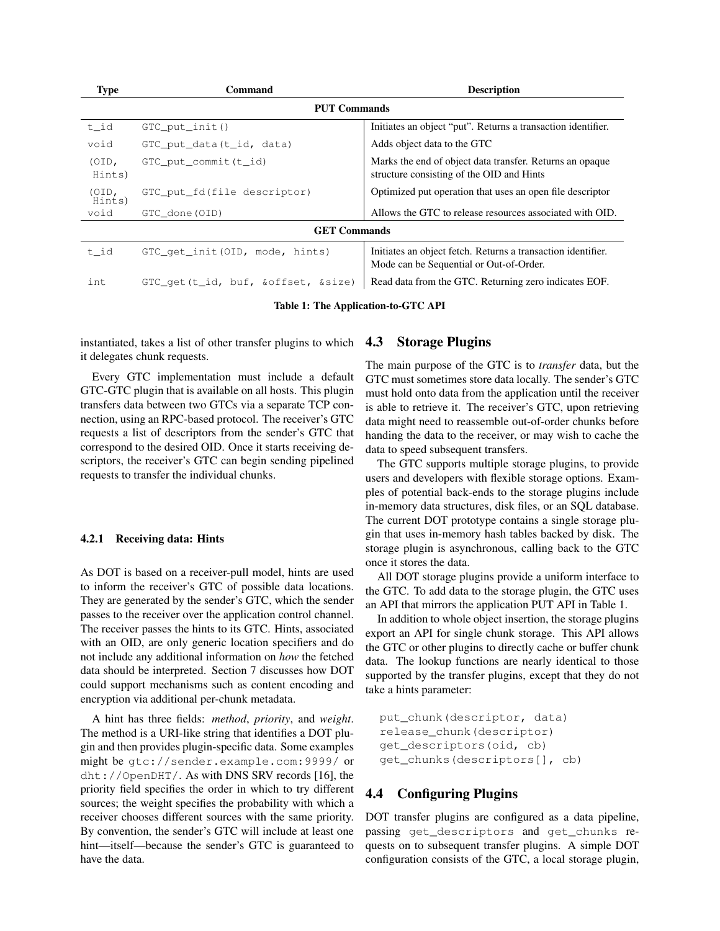| <b>Type</b>         | Command                              | <b>Description</b>                                                                                      |  |  |  |
|---------------------|--------------------------------------|---------------------------------------------------------------------------------------------------------|--|--|--|
| <b>PUT Commands</b> |                                      |                                                                                                         |  |  |  |
| t_id                | $GTC$ put init ()                    | Initiates an object "put". Returns a transaction identifier.                                            |  |  |  |
| void                | $GTC$ put data $(t$ id, data)        | Adds object data to the GTC                                                                             |  |  |  |
| (OD,<br>Hints)      | GTC_put_commit(t_id)                 | Marks the end of object data transfer. Returns an opaque<br>structure consisting of the OID and Hints   |  |  |  |
| (OD,<br>Hints)      | GTC_put_fd(file descriptor)          | Optimized put operation that uses an open file descriptor                                               |  |  |  |
| void                | GTC done (OID)                       | Allows the GTC to release resources associated with OID.                                                |  |  |  |
| <b>GET Commands</b> |                                      |                                                                                                         |  |  |  |
| t id                | GTC_qet_init(OID, mode, hints)       | Initiates an object fetch. Returns a transaction identifier.<br>Mode can be Sequential or Out-of-Order. |  |  |  |
| int                 | GTC_get(t_id, buf, & offset, & size) | Read data from the GTC. Returning zero indicates EOF.                                                   |  |  |  |

<span id="page-5-1"></span>Table 1: The Application-to-GTC API

instantiated, takes a list of other transfer plugins to which  $4.3$ it delegates chunk requests.

Every GTC implementation must include a default GTC-GTC plugin that is available on all hosts. This plugin transfers data between two GTCs via a separate TCP connection, using an RPC-based protocol. The receiver's GTC requests a list of descriptors from the sender's GTC that correspond to the desired OID. Once it starts receiving descriptors, the receiver's GTC can begin sending pipelined requests to transfer the individual chunks.

#### <span id="page-5-0"></span>4.2.1 Receiving data: Hints

As DOT is based on a receiver-pull model, hints are used to inform the receiver's GTC of possible data locations. They are generated by the sender's GTC, which the sender passes to the receiver over the application control channel. The receiver passes the hints to its GTC. Hints, associated with an OID, are only generic location specifiers and do not include any additional information on *how* the fetched data should be interpreted. Section [7](#page-11-0) discusses how DOT could support mechanisms such as content encoding and encryption via additional per-chunk metadata.

A hint has three fields: *method*, *priority*, and *weight*. The method is a URI-like string that identifies a DOT plugin and then provides plugin-specific data. Some examples might be gtc://sender.example.com:9999/ or dht://OpenDHT/. As with DNS SRV records [\[16\]](#page-13-29), the priority field specifies the order in which to try different sources; the weight specifies the probability with which a receiver chooses different sources with the same priority. By convention, the sender's GTC will include at least one hint—itself—because the sender's GTC is guaranteed to have the data.

### **Storage Plugins**

The main purpose of the GTC is to *transfer* data, but the GTC must sometimes store data locally. The sender's GTC must hold onto data from the application until the receiver is able to retrieve it. The receiver's GTC, upon retrieving data might need to reassemble out-of-order chunks before handing the data to the receiver, or may wish to cache the data to speed subsequent transfers.

The GTC supports multiple storage plugins, to provide users and developers with flexible storage options. Examples of potential back-ends to the storage plugins include in-memory data structures, disk files, or an SQL database. The current DOT prototype contains a single storage plugin that uses in-memory hash tables backed by disk. The storage plugin is asynchronous, calling back to the GTC once it stores the data.

All DOT storage plugins provide a uniform interface to the GTC. To add data to the storage plugin, the GTC uses an API that mirrors the application PUT API in Table [1.](#page-5-1)

In addition to whole object insertion, the storage plugins export an API for single chunk storage. This API allows the GTC or other plugins to directly cache or buffer chunk data. The lookup functions are nearly identical to those supported by the transfer plugins, except that they do not take a hints parameter:

```
put_chunk(descriptor, data)
release_chunk(descriptor)
get_descriptors(oid, cb)
get_chunks(descriptors[], cb)
```
### 4.4 Configuring Plugins

DOT transfer plugins are configured as a data pipeline, passing get descriptors and get chunks requests on to subsequent transfer plugins. A simple DOT configuration consists of the GTC, a local storage plugin,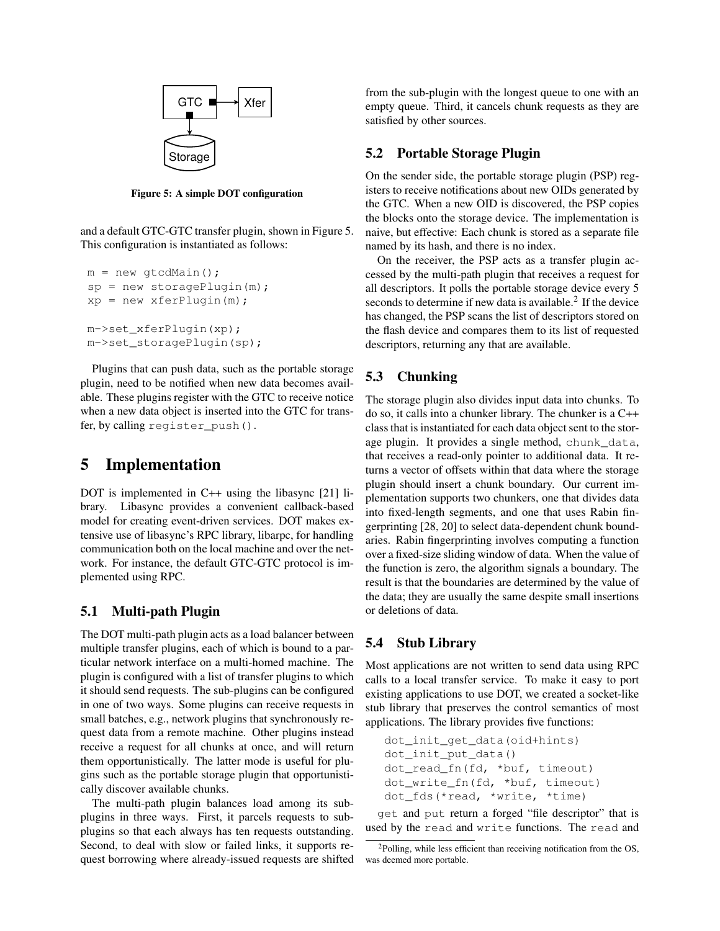

<span id="page-6-0"></span>Figure 5: A simple DOT configuration

and a default GTC-GTC transfer plugin, shown in Figure [5.](#page-6-0) This configuration is instantiated as follows:

```
m = new gtcdMain();
sp = new storagePlugin(m);
xp = new xferPluqin(m);m->set_xferPlugin(xp);
m->set_storagePlugin(sp);
```
Plugins that can push data, such as the portable storage plugin, need to be notified when new data becomes available. These plugins register with the GTC to receive notice when a new data object is inserted into the GTC for transfer, by calling register\_push().

# 5 Implementation

DOT is implemented in C++ using the libasync [\[21\]](#page-13-30) library. Libasync provides a convenient callback-based model for creating event-driven services. DOT makes extensive use of libasync's RPC library, libarpc, for handling communication both on the local machine and over the network. For instance, the default GTC-GTC protocol is implemented using RPC.

### <span id="page-6-2"></span>5.1 Multi-path Plugin

The DOT multi-path plugin acts as a load balancer between multiple transfer plugins, each of which is bound to a particular network interface on a multi-homed machine. The plugin is configured with a list of transfer plugins to which it should send requests. The sub-plugins can be configured in one of two ways. Some plugins can receive requests in small batches, e.g., network plugins that synchronously request data from a remote machine. Other plugins instead receive a request for all chunks at once, and will return them opportunistically. The latter mode is useful for plugins such as the portable storage plugin that opportunistically discover available chunks.

The multi-path plugin balances load among its subplugins in three ways. First, it parcels requests to subplugins so that each always has ten requests outstanding. Second, to deal with slow or failed links, it supports request borrowing where already-issued requests are shifted from the sub-plugin with the longest queue to one with an empty queue. Third, it cancels chunk requests as they are satisfied by other sources.

### 5.2 Portable Storage Plugin

On the sender side, the portable storage plugin (PSP) registers to receive notifications about new OIDs generated by the GTC. When a new OID is discovered, the PSP copies the blocks onto the storage device. The implementation is naive, but effective: Each chunk is stored as a separate file named by its hash, and there is no index.

On the receiver, the PSP acts as a transfer plugin accessed by the multi-path plugin that receives a request for all descriptors. It polls the portable storage device every 5 seconds to determine if new data is available. $<sup>2</sup>$  $<sup>2</sup>$  $<sup>2</sup>$  If the device</sup> has changed, the PSP scans the list of descriptors stored on the flash device and compares them to its list of requested descriptors, returning any that are available.

## 5.3 Chunking

The storage plugin also divides input data into chunks. To do so, it calls into a chunker library. The chunker is a C++ class that is instantiated for each data object sent to the storage plugin. It provides a single method, chunk\_data, that receives a read-only pointer to additional data. It returns a vector of offsets within that data where the storage plugin should insert a chunk boundary. Our current implementation supports two chunkers, one that divides data into fixed-length segments, and one that uses Rabin fingerprinting [\[28,](#page-13-31) [20\]](#page-13-32) to select data-dependent chunk boundaries. Rabin fingerprinting involves computing a function over a fixed-size sliding window of data. When the value of the function is zero, the algorithm signals a boundary. The result is that the boundaries are determined by the value of the data; they are usually the same despite small insertions or deletions of data.

### <span id="page-6-3"></span>5.4 Stub Library

Most applications are not written to send data using RPC calls to a local transfer service. To make it easy to port existing applications to use DOT, we created a socket-like stub library that preserves the control semantics of most applications. The library provides five functions:

```
dot_init_get_data(oid+hints)
dot init put data()
dot_read_fn(fd, *buf, timeout)
dot_write_fn(fd, *buf, timeout)
dot_fds(*read, *write, *time)
```
get and put return a forged "file descriptor" that is used by the read and write functions. The read and

<span id="page-6-1"></span> $2$ Polling, while less efficient than receiving notification from the OS, was deemed more portable.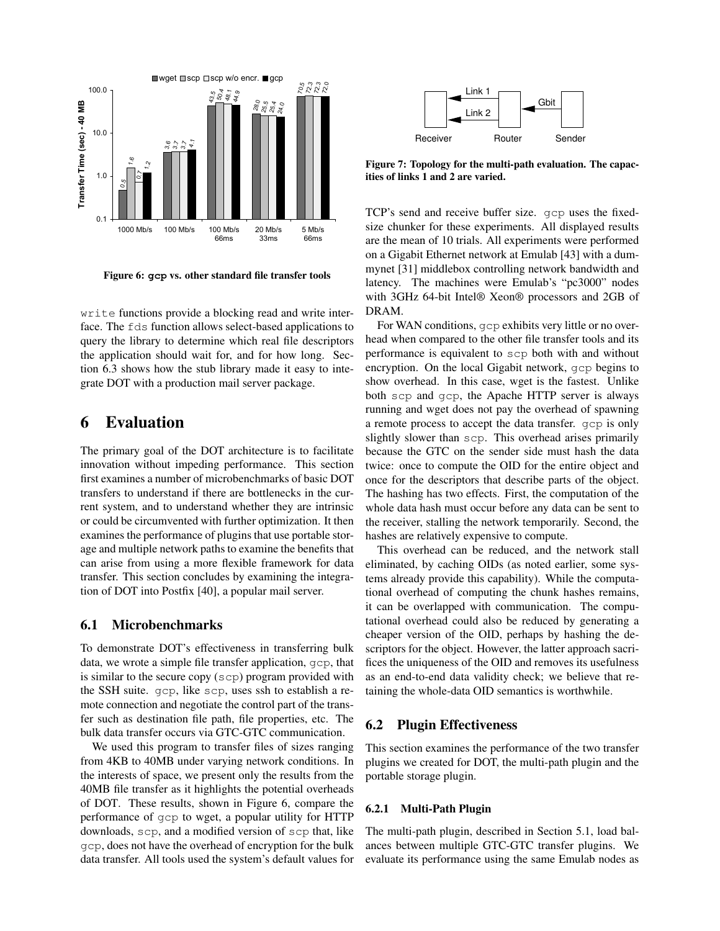

<span id="page-7-0"></span>Figure 6: **gcp** vs. other standard file transfer tools

write functions provide a blocking read and write interface. The fds function allows select-based applications to query the library to determine which real file descriptors the application should wait for, and for how long. Section [6.3](#page-9-0) shows how the stub library made it easy to integrate DOT with a production mail server package.

# 6 Evaluation

The primary goal of the DOT architecture is to facilitate innovation without impeding performance. This section first examines a number of microbenchmarks of basic DOT transfers to understand if there are bottlenecks in the current system, and to understand whether they are intrinsic or could be circumvented with further optimization. It then examines the performance of plugins that use portable storage and multiple network paths to examine the benefits that can arise from using a more flexible framework for data transfer. This section concludes by examining the integration of DOT into Postfix [\[40\]](#page-13-33), a popular mail server.

#### 6.1 Microbenchmarks

To demonstrate DOT's effectiveness in transferring bulk data, we wrote a simple file transfer application, gcp, that is similar to the secure copy (scp) program provided with the SSH suite. gcp, like scp, uses ssh to establish a remote connection and negotiate the control part of the transfer such as destination file path, file properties, etc. The bulk data transfer occurs via GTC-GTC communication.

We used this program to transfer files of sizes ranging from 4KB to 40MB under varying network conditions. In the interests of space, we present only the results from the 40MB file transfer as it highlights the potential overheads of DOT. These results, shown in Figure [6,](#page-7-0) compare the performance of gcp to wget, a popular utility for HTTP downloads, scp, and a modified version of scp that, like gcp, does not have the overhead of encryption for the bulk data transfer. All tools used the system's default values for



<span id="page-7-1"></span>Figure 7: Topology for the multi-path evaluation. The capacities of links 1 and 2 are varied.

TCP's send and receive buffer size. gcp uses the fixedsize chunker for these experiments. All displayed results are the mean of 10 trials. All experiments were performed on a Gigabit Ethernet network at Emulab [\[43\]](#page-13-34) with a dummynet [\[31\]](#page-13-35) middlebox controlling network bandwidth and latency. The machines were Emulab's "pc3000" nodes with 3GHz 64-bit Intel® Xeon® processors and 2GB of DRAM.

For WAN conditions, gcp exhibits very little or no overhead when compared to the other file transfer tools and its performance is equivalent to scp both with and without encryption. On the local Gigabit network, gcp begins to show overhead. In this case, wget is the fastest. Unlike both scp and gcp, the Apache HTTP server is always running and wget does not pay the overhead of spawning a remote process to accept the data transfer. gcp is only slightly slower than scp. This overhead arises primarily because the GTC on the sender side must hash the data twice: once to compute the OID for the entire object and once for the descriptors that describe parts of the object. The hashing has two effects. First, the computation of the whole data hash must occur before any data can be sent to the receiver, stalling the network temporarily. Second, the hashes are relatively expensive to compute.

This overhead can be reduced, and the network stall eliminated, by caching OIDs (as noted earlier, some systems already provide this capability). While the computational overhead of computing the chunk hashes remains, it can be overlapped with communication. The computational overhead could also be reduced by generating a cheaper version of the OID, perhaps by hashing the descriptors for the object. However, the latter approach sacrifices the uniqueness of the OID and removes its usefulness as an end-to-end data validity check; we believe that retaining the whole-data OID semantics is worthwhile.

#### 6.2 Plugin Effectiveness

This section examines the performance of the two transfer plugins we created for DOT, the multi-path plugin and the portable storage plugin.

#### 6.2.1 Multi-Path Plugin

The multi-path plugin, described in Section [5.1,](#page-6-2) load balances between multiple GTC-GTC transfer plugins. We evaluate its performance using the same Emulab nodes as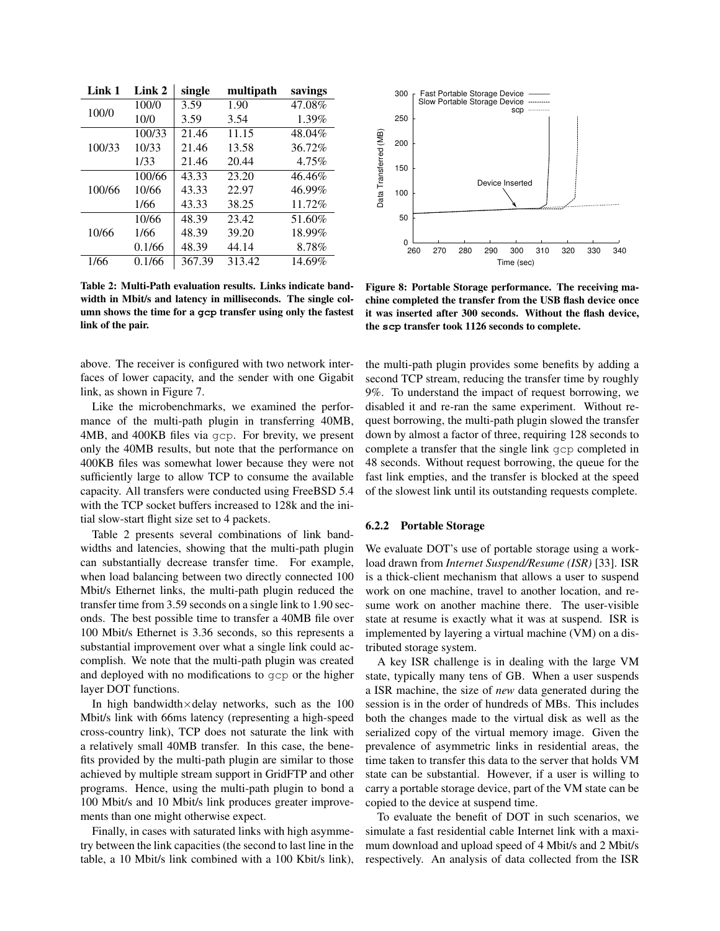| Link 1 | Link 2 | single | multipath | savings |
|--------|--------|--------|-----------|---------|
|        | 100/0  | 3.59   | 1.90      | 47.08%  |
| 100/0  | 10/0   | 3.59   | 3.54      | 1.39%   |
|        | 100/33 | 21.46  | 11.15     | 48.04%  |
| 100/33 | 10/33  | 21.46  | 13.58     | 36.72%  |
|        | 1/33   | 21.46  | 20.44     | 4.75%   |
|        | 100/66 | 43.33  | 23.20     | 46.46%  |
| 100/66 | 10/66  | 43.33  | 22.97     | 46.99%  |
|        | 1/66   | 43.33  | 38.25     | 11.72%  |
|        | 10/66  | 48.39  | 23.42     | 51.60%  |
| 10/66  | 1/66   | 48.39  | 39.20     | 18.99%  |
|        | 0.1/66 | 48.39  | 44.14     | 8.78%   |
| 1/66   | 0.1/66 | 367.39 | 313.42    | 14.69%  |

<span id="page-8-0"></span>Table 2: Multi-Path evaluation results. Links indicate bandwidth in Mbit/s and latency in milliseconds. The single column shows the time for a **gcp** transfer using only the fastest link of the pair.

above. The receiver is configured with two network interfaces of lower capacity, and the sender with one Gigabit link, as shown in Figure [7.](#page-7-1)

Like the microbenchmarks, we examined the performance of the multi-path plugin in transferring 40MB, 4MB, and 400KB files via gcp. For brevity, we present only the 40MB results, but note that the performance on 400KB files was somewhat lower because they were not sufficiently large to allow TCP to consume the available capacity. All transfers were conducted using FreeBSD 5.4 with the TCP socket buffers increased to 128k and the initial slow-start flight size set to 4 packets.

Table [2](#page-8-0) presents several combinations of link bandwidths and latencies, showing that the multi-path plugin can substantially decrease transfer time. For example, when load balancing between two directly connected 100 Mbit/s Ethernet links, the multi-path plugin reduced the transfer time from 3.59 seconds on a single link to 1.90 seconds. The best possible time to transfer a 40MB file over 100 Mbit/s Ethernet is 3.36 seconds, so this represents a substantial improvement over what a single link could accomplish. We note that the multi-path plugin was created and deployed with no modifications to gcp or the higher layer DOT functions. 0.1/66 48.39 44.14 8.78% 0<br>1/66 0.1/66 148.39 44.14 18.78% 0<br>1/66 0.1/66 367.39 313.42 14.69% <br>Table 2: Mrdit-Path valuation results. Links indete band-<br>Figure 8:<br>width in Mbit/s and lattery in milliseconds. The single co

In high bandwidth $\times$ delay networks, such as the 100 Mbit/s link with 66ms latency (representing a high-speed cross-country link), TCP does not saturate the link with a relatively small 40MB transfer. In this case, the benefits provided by the multi-path plugin are similar to those achieved by multiple stream support in GridFTP and other programs. Hence, using the multi-path plugin to bond a 100 Mbit/s and 10 Mbit/s link produces greater improvements than one might otherwise expect.

Finally, in cases with saturated links with high asymmetry between the link capacities (the second to last line in the



<span id="page-8-1"></span>Figure 8: Portable Storage performance. The receiving machine completed the transfer from the USB flash device once it was inserted after 300 seconds. Without the flash device, the **scp** transfer took 1126 seconds to complete.

the multi-path plugin provides some benefits by adding a second TCP stream, reducing the transfer time by roughly 9%. To understand the impact of request borrowing, we disabled it and re-ran the same experiment. Without request borrowing, the multi-path plugin slowed the transfer down by almost a factor of three, requiring 128 seconds to complete a transfer that the single link gcp completed in 48 seconds. Without request borrowing, the queue for the fast link empties, and the transfer is blocked at the speed of the slowest link until its outstanding requests complete.

#### 6.2.2 Portable Storage

We evaluate DOT's use of portable storage using a workload drawn from *Internet Suspend/Resume (ISR)* [\[33\]](#page-13-36). ISR is a thick-client mechanism that allows a user to suspend work on one machine, travel to another location, and resume work on another machine there. The user-visible state at resume is exactly what it was at suspend. ISR is implemented by layering a virtual machine (VM) on a distributed storage system.

A key ISR challenge is in dealing with the large VM state, typically many tens of GB. When a user suspends a ISR machine, the size of *new* data generated during the session is in the order of hundreds of MBs. This includes both the changes made to the virtual disk as well as the serialized copy of the virtual memory image. Given the prevalence of asymmetric links in residential areas, the time taken to transfer this data to the server that holds VM state can be substantial. However, if a user is willing to carry a portable storage device, part of the VM state can be copied to the device at suspend time.

To evaluate the benefit of DOT in such scenarios, we simulate a fast residential cable Internet link with a maximum download and upload speed of 4 Mbit/s and 2 Mbit/s respectively. An analysis of data collected from the ISR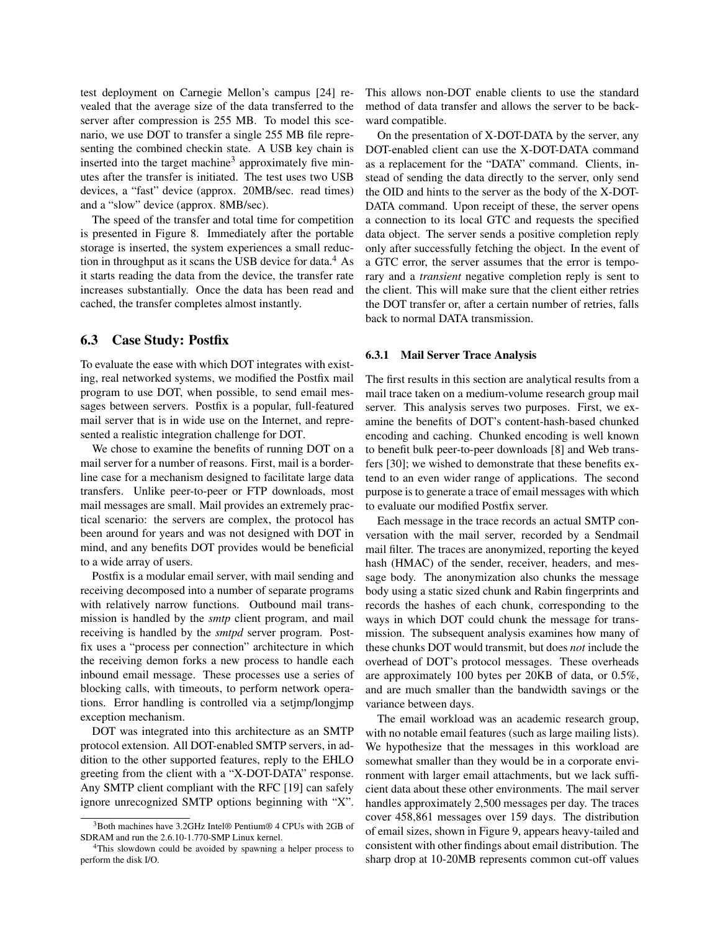test deployment on Carnegie Mellon's campus [\[24\]](#page-13-37) revealed that the average size of the data transferred to the server after compression is 255 MB. To model this scenario, we use DOT to transfer a single 255 MB file representing the combined checkin state. A USB key chain is inserted into the target machine<sup>[3](#page-9-1)</sup> approximately five minutes after the transfer is initiated. The test uses two USB devices, a "fast" device (approx. 20MB/sec. read times) and a "slow" device (approx. 8MB/sec).

The speed of the transfer and total time for competition is presented in Figure [8.](#page-8-1) Immediately after the portable storage is inserted, the system experiences a small reduction in throughput as it scans the USB device for data. $4$  As it starts reading the data from the device, the transfer rate increases substantially. Once the data has been read and cached, the transfer completes almost instantly.

### <span id="page-9-0"></span>6.3 Case Study: Postfix

To evaluate the ease with which DOT integrates with existing, real networked systems, we modified the Postfix mail program to use DOT, when possible, to send email messages between servers. Postfix is a popular, full-featured mail server that is in wide use on the Internet, and represented a realistic integration challenge for DOT.

We chose to examine the benefits of running DOT on a mail server for a number of reasons. First, mail is a borderline case for a mechanism designed to facilitate large data transfers. Unlike peer-to-peer or FTP downloads, most mail messages are small. Mail provides an extremely practical scenario: the servers are complex, the protocol has been around for years and was not designed with DOT in mind, and any benefits DOT provides would be beneficial to a wide array of users.

Postfix is a modular email server, with mail sending and receiving decomposed into a number of separate programs with relatively narrow functions. Outbound mail transmission is handled by the *smtp* client program, and mail receiving is handled by the *smtpd* server program. Postfix uses a "process per connection" architecture in which the receiving demon forks a new process to handle each inbound email message. These processes use a series of blocking calls, with timeouts, to perform network operations. Error handling is controlled via a setjmp/longjmp exception mechanism.

DOT was integrated into this architecture as an SMTP protocol extension. All DOT-enabled SMTP servers, in addition to the other supported features, reply to the EHLO greeting from the client with a "X-DOT-DATA" response. Any SMTP client compliant with the RFC [\[19\]](#page-13-38) can safely ignore unrecognized SMTP options beginning with "X".

This allows non-DOT enable clients to use the standard method of data transfer and allows the server to be backward compatible.

On the presentation of X-DOT-DATA by the server, any DOT-enabled client can use the X-DOT-DATA command as a replacement for the "DATA" command. Clients, instead of sending the data directly to the server, only send the OID and hints to the server as the body of the X-DOT-DATA command. Upon receipt of these, the server opens a connection to its local GTC and requests the specified data object. The server sends a positive completion reply only after successfully fetching the object. In the event of a GTC error, the server assumes that the error is temporary and a *transient* negative completion reply is sent to the client. This will make sure that the client either retries the DOT transfer or, after a certain number of retries, falls back to normal DATA transmission.

#### 6.3.1 Mail Server Trace Analysis

The first results in this section are analytical results from a mail trace taken on a medium-volume research group mail server. This analysis serves two purposes. First, we examine the benefits of DOT's content-hash-based chunked encoding and caching. Chunked encoding is well known to benefit bulk peer-to-peer downloads [\[8\]](#page-13-1) and Web transfers [\[30\]](#page-13-13); we wished to demonstrate that these benefits extend to an even wider range of applications. The second purpose is to generate a trace of email messages with which to evaluate our modified Postfix server.

Each message in the trace records an actual SMTP conversation with the mail server, recorded by a Sendmail mail filter. The traces are anonymized, reporting the keyed hash (HMAC) of the sender, receiver, headers, and message body. The anonymization also chunks the message body using a static sized chunk and Rabin fingerprints and records the hashes of each chunk, corresponding to the ways in which DOT could chunk the message for transmission. The subsequent analysis examines how many of these chunks DOT would transmit, but does *not* include the overhead of DOT's protocol messages. These overheads are approximately 100 bytes per 20KB of data, or 0.5%, and are much smaller than the bandwidth savings or the variance between days.

The email workload was an academic research group, with no notable email features (such as large mailing lists). We hypothesize that the messages in this workload are somewhat smaller than they would be in a corporate environment with larger email attachments, but we lack sufficient data about these other environments. The mail server handles approximately 2,500 messages per day. The traces cover 458,861 messages over 159 days. The distribution of email sizes, shown in Figure [9,](#page-10-0) appears heavy-tailed and consistent with other findings about email distribution. The sharp drop at 10-20MB represents common cut-off values

<span id="page-9-1"></span><sup>3</sup>Both machines have 3.2GHz Intel® Pentium® 4 CPUs with 2GB of SDRAM and run the 2.6.10-1.770-SMP Linux kernel.

<span id="page-9-2"></span><sup>&</sup>lt;sup>4</sup>This slowdown could be avoided by spawning a helper process to perform the disk I/O.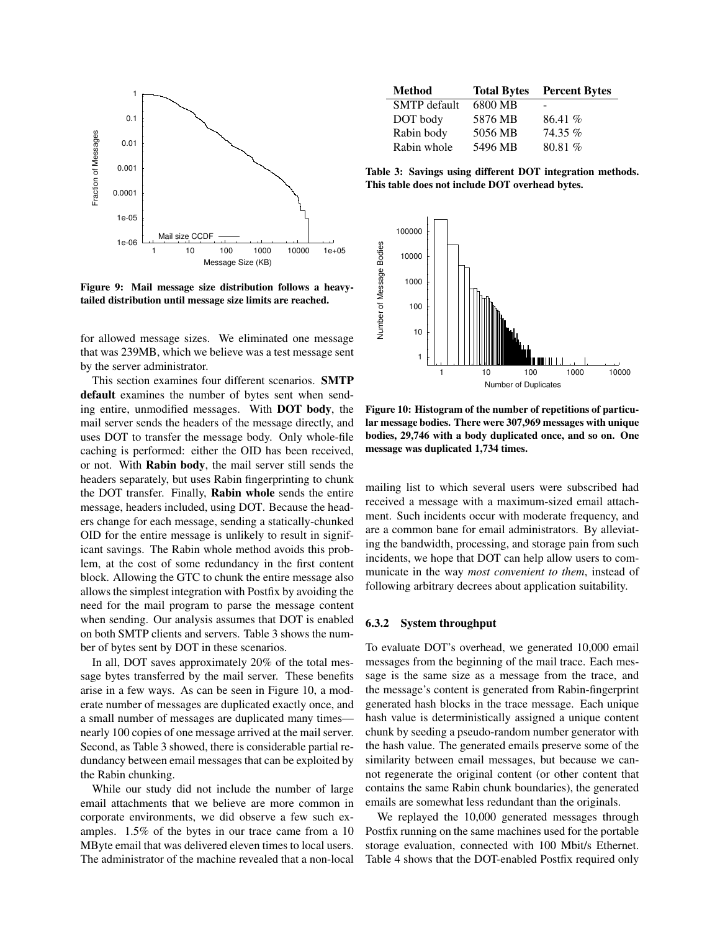

<span id="page-10-0"></span>Figure 9: Mail message size distribution follows a heavytailed distribution until message size limits are reached.

for allowed message sizes. We eliminated one message that was 239MB, which we believe was a test message sent by the server administrator.

This section examines four different scenarios. SMTP default examines the number of bytes sent when sending entire, unmodified messages. With DOT body, the mail server sends the headers of the message directly, and uses DOT to transfer the message body. Only whole-file caching is performed: either the OID has been received, or not. With Rabin body, the mail server still sends the headers separately, but uses Rabin fingerprinting to chunk the DOT transfer. Finally, Rabin whole sends the entire message, headers included, using DOT. Because the headers change for each message, sending a statically-chunked OID for the entire message is unlikely to result in significant savings. The Rabin whole method avoids this problem, at the cost of some redundancy in the first content block. Allowing the GTC to chunk the entire message also allows the simplest integration with Postfix by avoiding the need for the mail program to parse the message content when sending. Our analysis assumes that DOT is enabled on both SMTP clients and servers. Table [3](#page-10-1) shows the number of bytes sent by DOT in these scenarios.

In all, DOT saves approximately 20% of the total message bytes transferred by the mail server. These benefits arise in a few ways. As can be seen in Figure [10,](#page-10-2) a moderate number of messages are duplicated exactly once, and a small number of messages are duplicated many times nearly 100 copies of one message arrived at the mail server. Second, as Table [3](#page-10-1) showed, there is considerable partial redundancy between email messages that can be exploited by the Rabin chunking.

While our study did not include the number of large email attachments that we believe are more common in corporate environments, we did observe a few such examples. 1.5% of the bytes in our trace came from a 10 MByte email that was delivered eleven times to local users. The administrator of the machine revealed that a non-local

| <b>Method</b>       | <b>Total Bytes</b> | <b>Percent Bytes</b> |
|---------------------|--------------------|----------------------|
| <b>SMTP</b> default | 6800 MB            |                      |
| DOT body            | 5876 MB            | 86.41%               |
| Rabin body          | 5056 MB            | $74.35\%$            |
| Rabin whole         | 5496 MB            | 80.81 %              |

<span id="page-10-1"></span>Table 3: Savings using different DOT integration methods. This table does not include DOT overhead bytes.



<span id="page-10-2"></span>Figure 10: Histogram of the number of repetitions of particular message bodies. There were 307,969 messages with unique bodies, 29,746 with a body duplicated once, and so on. One message was duplicated 1,734 times.

mailing list to which several users were subscribed had received a message with a maximum-sized email attachment. Such incidents occur with moderate frequency, and are a common bane for email administrators. By alleviating the bandwidth, processing, and storage pain from such incidents, we hope that DOT can help allow users to communicate in the way *most convenient to them*, instead of following arbitrary decrees about application suitability.

#### 6.3.2 System throughput

To evaluate DOT's overhead, we generated 10,000 email messages from the beginning of the mail trace. Each message is the same size as a message from the trace, and the message's content is generated from Rabin-fingerprint generated hash blocks in the trace message. Each unique hash value is deterministically assigned a unique content chunk by seeding a pseudo-random number generator with the hash value. The generated emails preserve some of the similarity between email messages, but because we cannot regenerate the original content (or other content that contains the same Rabin chunk boundaries), the generated emails are somewhat less redundant than the originals.

We replayed the 10,000 generated messages through Postfix running on the same machines used for the portable storage evaluation, connected with 100 Mbit/s Ethernet. Table [4](#page-11-1) shows that the DOT-enabled Postfix required only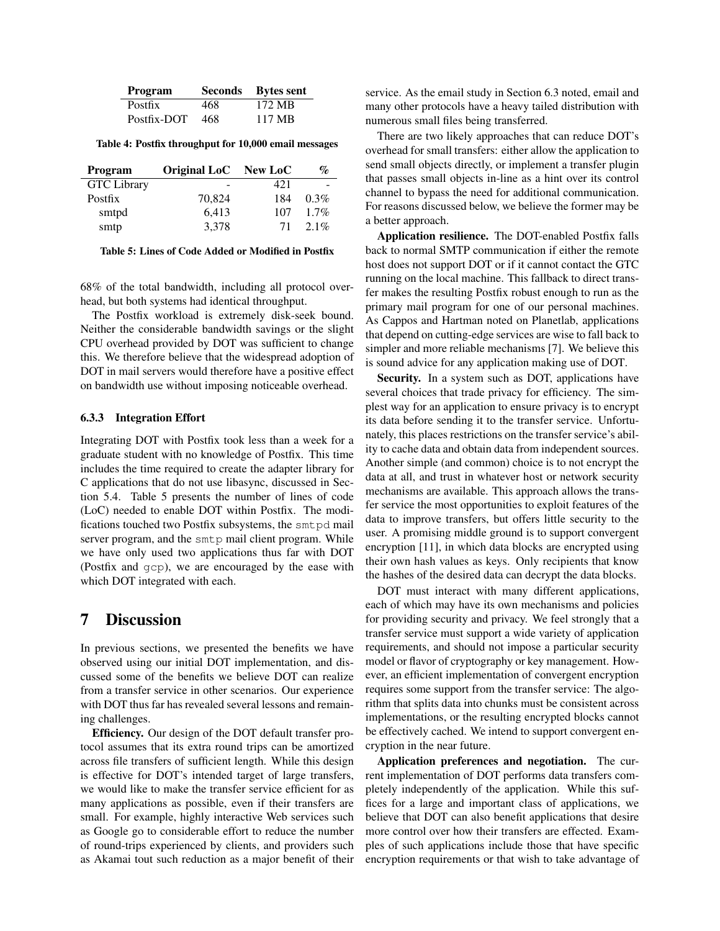| <b>Program</b> |     | Seconds Bytes sent |
|----------------|-----|--------------------|
| <b>Postfix</b> | 468 | 172 MB             |
| Postfix-DOT    | 468 | 117 MB             |

<span id="page-11-1"></span>Table 4: Postfix throughput for 10,000 email messages

| <b>Program</b>     | Original LoC New LoC |     | $\mathcal{O}_{\mathcal{O}}$ |
|--------------------|----------------------|-----|-----------------------------|
| <b>GTC</b> Library |                      | 421 |                             |
| Postfix            | 70,824               | 184 | $0.3\%$                     |
| smtpd              | 6,413                | 107 | $1.7\%$                     |
| smtp               | 3,378                | 71  | $2.1\%$                     |

<span id="page-11-2"></span>Table 5: Lines of Code Added or Modified in Postfix

68% of the total bandwidth, including all protocol overhead, but both systems had identical throughput.

The Postfix workload is extremely disk-seek bound. Neither the considerable bandwidth savings or the slight CPU overhead provided by DOT was sufficient to change this. We therefore believe that the widespread adoption of DOT in mail servers would therefore have a positive effect on bandwidth use without imposing noticeable overhead.

#### 6.3.3 Integration Effort

Integrating DOT with Postfix took less than a week for a graduate student with no knowledge of Postfix. This time includes the time required to create the adapter library for C applications that do not use libasync, discussed in Section [5.4.](#page-6-3) Table [5](#page-11-2) presents the number of lines of code (LoC) needed to enable DOT within Postfix. The modifications touched two Postfix subsystems, the smtpd mail server program, and the smtp mail client program. While we have only used two applications thus far with DOT (Postfix and gcp), we are encouraged by the ease with which DOT integrated with each.

# <span id="page-11-0"></span>7 Discussion

In previous sections, we presented the benefits we have observed using our initial DOT implementation, and discussed some of the benefits we believe DOT can realize from a transfer service in other scenarios. Our experience with DOT thus far has revealed several lessons and remaining challenges.

Efficiency. Our design of the DOT default transfer protocol assumes that its extra round trips can be amortized across file transfers of sufficient length. While this design is effective for DOT's intended target of large transfers, we would like to make the transfer service efficient for as many applications as possible, even if their transfers are small. For example, highly interactive Web services such as Google go to considerable effort to reduce the number of round-trips experienced by clients, and providers such as Akamai tout such reduction as a major benefit of their service. As the email study in Section [6.3](#page-9-0) noted, email and many other protocols have a heavy tailed distribution with numerous small files being transferred.

There are two likely approaches that can reduce DOT's overhead for small transfers: either allow the application to send small objects directly, or implement a transfer plugin that passes small objects in-line as a hint over its control channel to bypass the need for additional communication. For reasons discussed below, we believe the former may be a better approach.

Application resilience. The DOT-enabled Postfix falls back to normal SMTP communication if either the remote host does not support DOT or if it cannot contact the GTC running on the local machine. This fallback to direct transfer makes the resulting Postfix robust enough to run as the primary mail program for one of our personal machines. As Cappos and Hartman noted on Planetlab, applications that depend on cutting-edge services are wise to fall back to simpler and more reliable mechanisms [\[7\]](#page-13-39). We believe this is sound advice for any application making use of DOT.

Security. In a system such as DOT, applications have several choices that trade privacy for efficiency. The simplest way for an application to ensure privacy is to encrypt its data before sending it to the transfer service. Unfortunately, this places restrictions on the transfer service's ability to cache data and obtain data from independent sources. Another simple (and common) choice is to not encrypt the data at all, and trust in whatever host or network security mechanisms are available. This approach allows the transfer service the most opportunities to exploit features of the data to improve transfers, but offers little security to the user. A promising middle ground is to support convergent encryption [\[11\]](#page-13-40), in which data blocks are encrypted using their own hash values as keys. Only recipients that know the hashes of the desired data can decrypt the data blocks.

DOT must interact with many different applications, each of which may have its own mechanisms and policies for providing security and privacy. We feel strongly that a transfer service must support a wide variety of application requirements, and should not impose a particular security model or flavor of cryptography or key management. However, an efficient implementation of convergent encryption requires some support from the transfer service: The algorithm that splits data into chunks must be consistent across implementations, or the resulting encrypted blocks cannot be effectively cached. We intend to support convergent encryption in the near future.

Application preferences and negotiation. The current implementation of DOT performs data transfers completely independently of the application. While this suffices for a large and important class of applications, we believe that DOT can also benefit applications that desire more control over how their transfers are effected. Examples of such applications include those that have specific encryption requirements or that wish to take advantage of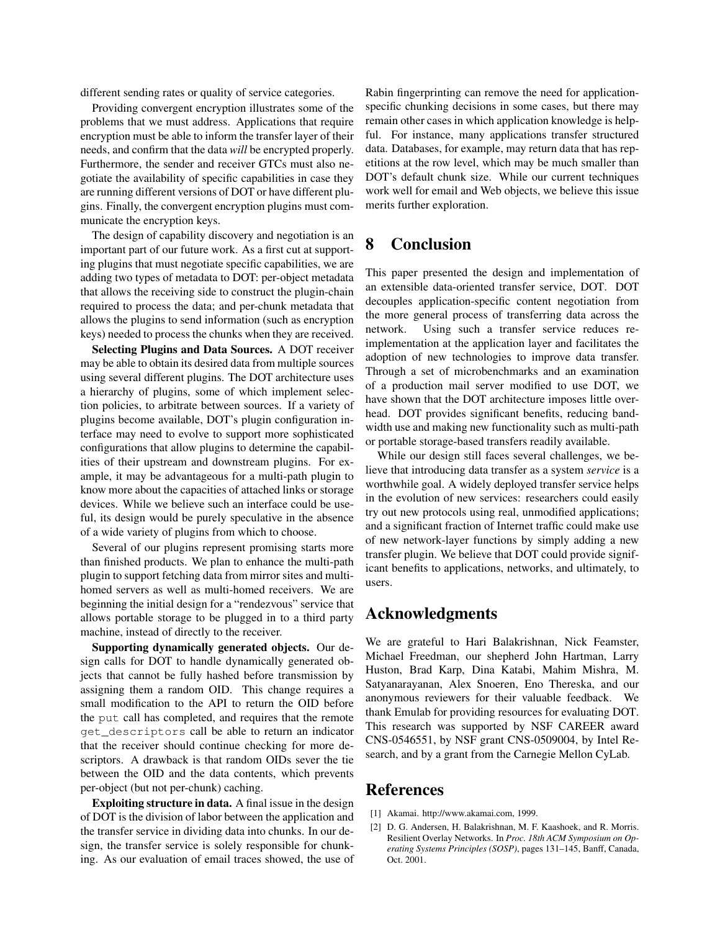different sending rates or quality of service categories.

Providing convergent encryption illustrates some of the problems that we must address. Applications that require encryption must be able to inform the transfer layer of their needs, and confirm that the data *will* be encrypted properly. Furthermore, the sender and receiver GTCs must also negotiate the availability of specific capabilities in case they are running different versions of DOT or have different plugins. Finally, the convergent encryption plugins must communicate the encryption keys.

The design of capability discovery and negotiation is an important part of our future work. As a first cut at supporting plugins that must negotiate specific capabilities, we are adding two types of metadata to DOT: per-object metadata that allows the receiving side to construct the plugin-chain required to process the data; and per-chunk metadata that allows the plugins to send information (such as encryption keys) needed to process the chunks when they are received.

Selecting Plugins and Data Sources. A DOT receiver may be able to obtain its desired data from multiple sources using several different plugins. The DOT architecture uses a hierarchy of plugins, some of which implement selection policies, to arbitrate between sources. If a variety of plugins become available, DOT's plugin configuration interface may need to evolve to support more sophisticated configurations that allow plugins to determine the capabilities of their upstream and downstream plugins. For example, it may be advantageous for a multi-path plugin to know more about the capacities of attached links or storage devices. While we believe such an interface could be useful, its design would be purely speculative in the absence of a wide variety of plugins from which to choose.

Several of our plugins represent promising starts more than finished products. We plan to enhance the multi-path plugin to support fetching data from mirror sites and multihomed servers as well as multi-homed receivers. We are beginning the initial design for a "rendezvous" service that allows portable storage to be plugged in to a third party machine, instead of directly to the receiver.

Supporting dynamically generated objects. Our design calls for DOT to handle dynamically generated objects that cannot be fully hashed before transmission by assigning them a random OID. This change requires a small modification to the API to return the OID before the put call has completed, and requires that the remote get\_descriptors call be able to return an indicator that the receiver should continue checking for more descriptors. A drawback is that random OIDs sever the tie between the OID and the data contents, which prevents per-object (but not per-chunk) caching.

Exploiting structure in data. A final issue in the design of DOT is the division of labor between the application and the transfer service in dividing data into chunks. In our design, the transfer service is solely responsible for chunking. As our evaluation of email traces showed, the use of

Rabin fingerprinting can remove the need for applicationspecific chunking decisions in some cases, but there may remain other cases in which application knowledge is helpful. For instance, many applications transfer structured data. Databases, for example, may return data that has repetitions at the row level, which may be much smaller than DOT's default chunk size. While our current techniques work well for email and Web objects, we believe this issue merits further exploration.

# 8 Conclusion

This paper presented the design and implementation of an extensible data-oriented transfer service, DOT. DOT decouples application-specific content negotiation from the more general process of transferring data across the network. Using such a transfer service reduces reimplementation at the application layer and facilitates the adoption of new technologies to improve data transfer. Through a set of microbenchmarks and an examination of a production mail server modified to use DOT, we have shown that the DOT architecture imposes little overhead. DOT provides significant benefits, reducing bandwidth use and making new functionality such as multi-path or portable storage-based transfers readily available.

While our design still faces several challenges, we believe that introducing data transfer as a system *service* is a worthwhile goal. A widely deployed transfer service helps in the evolution of new services: researchers could easily try out new protocols using real, unmodified applications; and a significant fraction of Internet traffic could make use of new network-layer functions by simply adding a new transfer plugin. We believe that DOT could provide significant benefits to applications, networks, and ultimately, to users.

# Acknowledgments

We are grateful to Hari Balakrishnan, Nick Feamster, Michael Freedman, our shepherd John Hartman, Larry Huston, Brad Karp, Dina Katabi, Mahim Mishra, M. Satyanarayanan, Alex Snoeren, Eno Thereska, and our anonymous reviewers for their valuable feedback. We thank Emulab for providing resources for evaluating DOT. This research was supported by NSF CAREER award CNS-0546551, by NSF grant CNS-0509004, by Intel Research, and by a grant from the Carnegie Mellon CyLab.

### References

- <span id="page-12-0"></span>[1] Akamai. http://www.akamai.com, 1999.
- <span id="page-12-1"></span>[2] D. G. Andersen, H. Balakrishnan, M. F. Kaashoek, and R. Morris. Resilient Overlay Networks. In *Proc. 18th ACM Symposium on Operating Systems Principles (SOSP)*, pages 131–145, Banff, Canada, Oct. 2001.